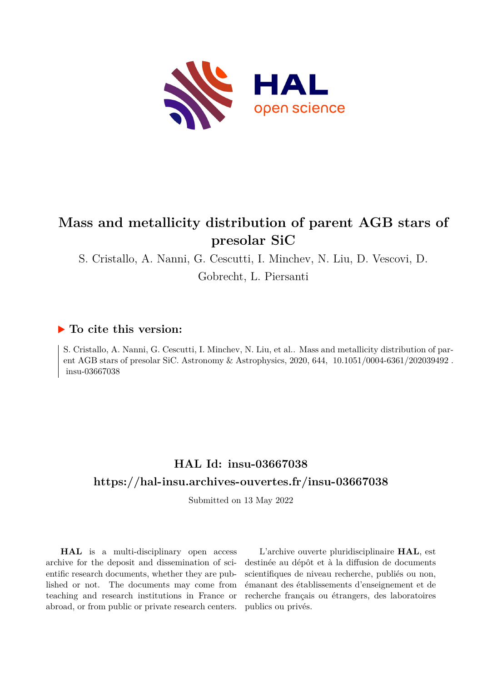

# **Mass and metallicity distribution of parent AGB stars of presolar SiC**

S. Cristallo, A. Nanni, G. Cescutti, I. Minchev, N. Liu, D. Vescovi, D.

Gobrecht, L. Piersanti

## **To cite this version:**

S. Cristallo, A. Nanni, G. Cescutti, I. Minchev, N. Liu, et al.. Mass and metallicity distribution of parent AGB stars of presolar SiC. Astronomy & Astrophysics, 2020, 644,  $10.1051/0004-6361/202039492$ . insu-03667038

# **HAL Id: insu-03667038 <https://hal-insu.archives-ouvertes.fr/insu-03667038>**

Submitted on 13 May 2022

**HAL** is a multi-disciplinary open access archive for the deposit and dissemination of scientific research documents, whether they are published or not. The documents may come from teaching and research institutions in France or abroad, or from public or private research centers.

L'archive ouverte pluridisciplinaire **HAL**, est destinée au dépôt et à la diffusion de documents scientifiques de niveau recherche, publiés ou non, émanant des établissements d'enseignement et de recherche français ou étrangers, des laboratoires publics ou privés.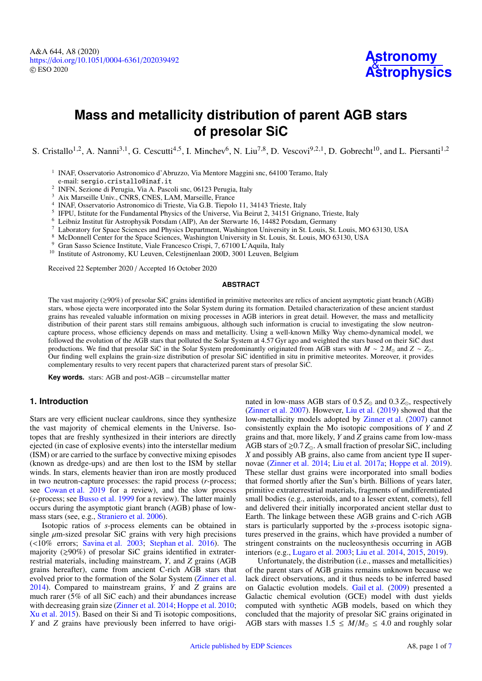A&A 644, A8 (2020) https://doi.org/10.1051/0004-6361/[202039492](https://doi.org/10.1051/0004-6361/202039492) c ESO 2020



# **Mass and metallicity distribution of parent AGB stars of presolar SiC**

S. Cristallo<sup>1,2</sup>, A. Nanni<sup>3,1</sup>, G. Cescutti<sup>4,5</sup>, I. Minchev<sup>6</sup>, N. Liu<sup>7,8</sup>, D. Vescovi<sup>9,2,1</sup>, D. Gobrecht<sup>10</sup>, and L. Piersanti<sup>1,2</sup>

<sup>1</sup> INAF, Osservatorio Astronomico d'Abruzzo, Via Mentore Maggini snc, 64100 Teramo, Italy e-mail: sergio.cristallo@inaf.it

<sup>2</sup> INFN, Sezione di Perugia, Via A. Pascoli snc, 06123 Perugia, Italy

<sup>3</sup> Aix Marseille Univ., CNRS, CNES, LAM, Marseille, France

4 INAF, Osservatorio Astronomico di Trieste, Via G.B. Tiepolo 11, 34143 Trieste, Italy

<sup>5</sup> IFPU, Istitute for the Fundamental Physics of the Universe, Via Beirut 2, 34151 Grignano, Trieste, Italy

<sup>6</sup> Leibniz Institut für Astrophysik Potsdam (AIP), An der Sterwarte 16, 14482 Potsdam, Germany

<sup>7</sup> Laboratory for Space Sciences and Physics Department, Washington University in St. Louis, St. Louis, MO 63130, USA

<sup>8</sup> McDonnell Center for the Space Sciences, Washington University in St. Louis, St. Louis, MO 63130, USA

Gran Sasso Science Institute, Viale Francesco Crispi, 7, 67100 L'Aquila, Italy

<sup>10</sup> Institute of Astronomy, KU Leuven, Celestijnenlaan 200D, 3001 Leuven, Belgium

Received 22 September 2020 / Accepted 16 October 2020

#### **ABSTRACT**

The vast majority ( $\geq 90\%$ ) of presolar SiC grains identified in primitive meteorites are relics of ancient asymptotic giant branch (AGB) stars, whose ejecta were incorporated into the Solar System during its formation. Detailed characterization of these ancient stardust grains has revealed valuable information on mixing processes in AGB interiors in great detail. However, the mass and metallicity distribution of their parent stars still remains ambiguous, although such information is crucial to investigating the slow neutroncapture process, whose efficiency depends on mass and metallicity. Using a well-known Milky Way chemo-dynamical model, we followed the evolution of the AGB stars that polluted the Solar System at 4.57 Gyr ago and weighted the stars based on their SiC dust productions. We find that presolar SiC in the Solar System predominantly originated from AGB stars with  $M \sim 2 M_{\odot}$  and  $Z \sim Z_{\odot}$ . Our finding well explains the grain-size distribution of presolar SiC identified in situ in primitive meteorites. Moreover, it provides complementary results to very recent papers that characterized parent stars of presolar SiC.

**Key words.** stars: AGB and post-AGB – circumstellar matter

#### **1. Introduction**

Stars are very efficient nuclear cauldrons, since they synthesize the vast majority of chemical elements in the Universe. Isotopes that are freshly synthesized in their interiors are directly ejected (in case of explosive events) into the interstellar medium (ISM) or are carried to the surface by convective mixing episodes (known as dredge-ups) and are then lost to the ISM by stellar winds. In stars, elements heavier than iron are mostly produced in two neutron-capture processes: the rapid process (*r*-process; see Cowan et al. 2019 for a review), and the slow process (*s*-process; see Busso et al. 1999 for a review). The latter mainly occurs during the asymptotic giant branch (AGB) phase of lowmass stars (see, e.g., Straniero et al. 2006).

Isotopic ratios of *s*-process elements can be obtained in single  $\mu$ m-sized presolar SiC grains with very high precisions (<10% errors; Savina et al. 2003; Stephan et al. 2016). The majority  $(\geq 90\%)$  of presolar SiC grains identified in extraterrestrial materials, including mainstream, *Y*, and *Z* grains (AGB grains hereafter), came from ancient C-rich AGB stars that evolved prior to the formation of the Solar System (Zinner et al. 2014). Compared to mainstream grains, *Y* and *Z* grains are much rarer (5% of all SiC each) and their abundances increase with decreasing grain size (Zinner et al. 2014; Hoppe et al. 2010; Xu et al. 2015). Based on their Si and Ti isotopic compositions, *Y* and *Z* grains have previously been inferred to have originated in low-mass AGB stars of  $0.5 Z_{\odot}$  and  $0.3 Z_{\odot}$ , respectively (Zinner et al. 2007). However, Liu et al. (2019) showed that the low-metallicity models adopted by Zinner et al. (2007) cannot consistently explain the Mo isotopic compositions of *Y* and *Z* grains and that, more likely, *Y* and *Z* grains came from low-mass AGB stars of  $\geq 0.7 Z_{\odot}$ . A small fraction of presolar SiC, including *X* and possibly AB grains, also came from ancient type II supernovae (Zinner et al. 2014; Liu et al. 2017a; Hoppe et al. 2019). These stellar dust grains were incorporated into small bodies that formed shortly after the Sun's birth. Billions of years later, primitive extraterrestrial materials, fragments of undifferentiated small bodies (e.g., asteroids, and to a lesser extent, comets), fell and delivered their initially incorporated ancient stellar dust to Earth. The linkage between these AGB grains and C-rich AGB stars is particularly supported by the *s*-process isotopic signatures preserved in the grains, which have provided a number of stringent constraints on the nucleosynthesis occurring in AGB interiors (e.g., Lugaro et al. 2003; Liu et al. 2014, 2015, 2019).

Unfortunately, the distribution (i.e., masses and metallicities) of the parent stars of AGB grains remains unknown because we lack direct observations, and it thus needs to be inferred based on Galactic evolution models. Gail et al. (2009) presented a Galactic chemical evolution (GCE) model with dust yields computed with synthetic AGB models, based on which they concluded that the majority of presolar SiC grains originated in AGB stars with masses  $1.5 \leq M/M_{\odot} \leq 4.0$  and roughly solar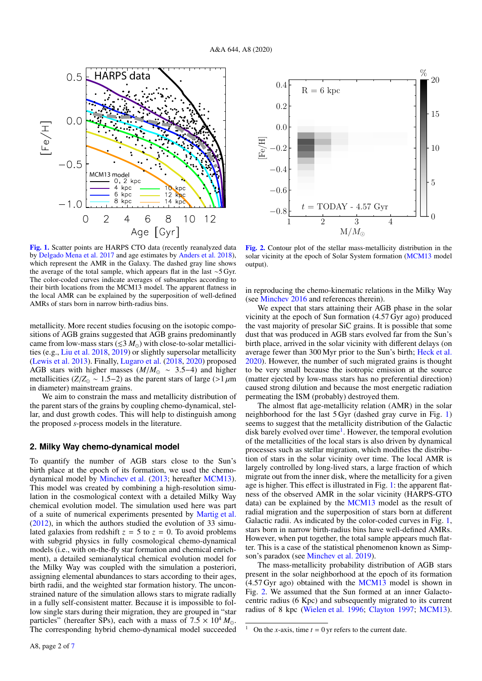

[Fig. 1.](https://dexter.edpsciences.org/applet.php?DOI=10.1051/0004-6361/202039492&pdf_id=1) Scatter points are HARPS CTO data (recently reanalyzed data by Delgado Mena et al. 2017 and age estimates by Anders et al. 2018), which represent the AMR in the Galaxy. The dashed gray line shows the average of the total sample, which appears flat in the last ∼5 Gyr. The color-coded curves indicate averages of subsamples according to their birth locations from the MCM13 model. The apparent flatness in the local AMR can be explained by the superposition of well-defined AMRs of stars born in narrow birth-radius bins.

metallicity. More recent studies focusing on the isotopic compositions of AGB grains suggested that AGB grains predominantly came from low-mass stars  $(\leq 3 M_{\odot})$  with close-to-solar metallicities (e.g., Liu et al. 2018, 2019) or slightly supersolar metallicity (Lewis et al. 2013). Finally, Lugaro et al. (2018, 2020) proposed AGB stars with higher masses (*M*/*<sup>M</sup>* <sup>∼</sup> <sup>3</sup>.5−4) and higher metallicities ( $Z/Z_{\odot} \sim 1.5-2$ ) as the parent stars of large (>1  $\mu$ m in diameter) mainstream grains.

We aim to constrain the mass and metallicity distribution of the parent stars of the grains by coupling chemo-dynamical, stellar, and dust growth codes. This will help to distinguish among the proposed *s*-process models in the literature.

### **2. Milky Way chemo-dynamical model**

To quantify the number of AGB stars close to the Sun's birth place at the epoch of its formation, we used the chemodynamical model by Minchev et al. (2013; hereafter MCM13). This model was created by combining a high-resolution simulation in the cosmological context with a detailed Milky Way chemical evolution model. The simulation used here was part of a suite of numerical experiments presented by Martig et al. (2012), in which the authors studied the evolution of 33 simulated galaxies from redshift  $z = 5$  to  $z = 0$ . To avoid problems with subgrid physics in fully cosmological chemo-dynamical models (i.e., with on-the-fly star formation and chemical enrichment), a detailed semianalytical chemical evolution model for the Milky Way was coupled with the simulation a posteriori, assigning elemental abundances to stars according to their ages, birth radii, and the weighted star formation history. The unconstrained nature of the simulation allows stars to migrate radially in a fully self-consistent matter. Because it is impossible to follow single stars during their migration, they are grouped in "star particles" (hereafter SPs), each with a mass of  $7.5 \times 10^4 M_{\odot}$ . The corresponding hybrid chemo-dynamical model succeeded



[Fig. 2.](https://dexter.edpsciences.org/applet.php?DOI=10.1051/0004-6361/202039492&pdf_id=2) Contour plot of the stellar mass-metallicity distribution in the solar vicinity at the epoch of Solar System formation (MCM13 model output).

in reproducing the chemo-kinematic relations in the Milky Way (see Minchev 2016 and references therein).

We expect that stars attaining their AGB phase in the solar vicinity at the epoch of Sun formation (4.57 Gyr ago) produced the vast majority of presolar SiC grains. It is possible that some dust that was produced in AGB stars evolved far from the Sun's birth place, arrived in the solar vicinity with different delays (on average fewer than 300 Myr prior to the Sun's birth; Heck et al. 2020). However, the number of such migrated grains is thought to be very small because the isotropic emission at the source (matter ejected by low-mass stars has no preferential direction) caused strong dilution and because the most energetic radiation permeating the ISM (probably) destroyed them.

The almost flat age-metallicity relation (AMR) in the solar neighborhood for the last 5 Gyr (dashed gray curve in Fig. 1) seems to suggest that the metallicity distribution of the Galactic disk barely evolved over time<sup>1</sup>. However, the temporal evolution of the metallicities of the local stars is also driven by dynamical processes such as stellar migration, which modifies the distribution of stars in the solar vicinity over time. The local AMR is largely controlled by long-lived stars, a large fraction of which migrate out from the inner disk, where the metallicity for a given age is higher. This effect is illustrated in Fig. 1: the apparent flatness of the observed AMR in the solar vicinity (HARPS-GTO data) can be explained by the MCM13 model as the result of radial migration and the superposition of stars born at different Galactic radii. As indicated by the color-coded curves in Fig. 1, stars born in narrow birth-radius bins have well-defined AMRs. However, when put together, the total sample appears much flatter. This is a case of the statistical phenomenon known as Simpson's paradox (see Minchev et al. 2019).

The mass-metallicity probability distribution of AGB stars present in the solar neighborhood at the epoch of its formation (4.57 Gyr ago) obtained with the MCM13 model is shown in Fig. 2. We assumed that the Sun formed at an inner Galactocentric radius (6 Kpc) and subsequently migrated to its current radius of 8 kpc (Wielen et al. 1996; Clayton 1997; MCM13).

On the *x*-axis, time  $t = 0$  yr refers to the current date.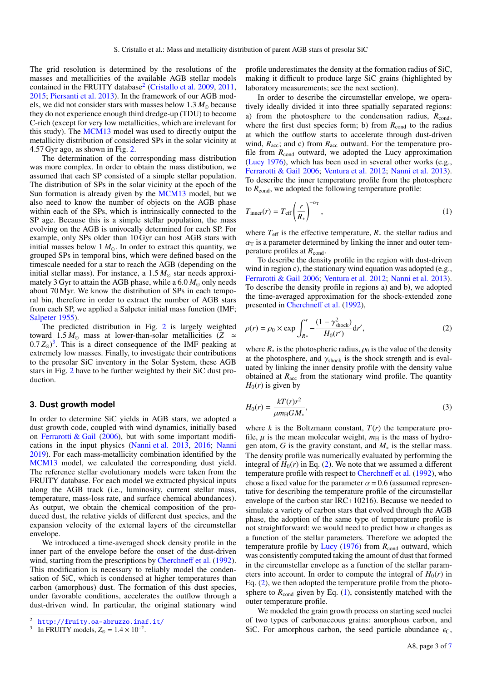The grid resolution is determined by the resolutions of the masses and metallicities of the available AGB stellar models contained in the FRUITY database<sup>2</sup> (Cristallo et al. 2009, 2011, 2015; Piersanti et al. 2013). In the framework of our AGB models, we did not consider stars with masses below  $1.3 M_{\odot}$  because they do not experience enough third dredge-up (TDU) to become C-rich (except for very low metallicities, which are irrelevant for this study). The MCM13 model was used to directly output the metallicity distribution of considered SPs in the solar vicinity at 4.57 Gyr ago, as shown in Fig. 2.

The determination of the corresponding mass distribution was more complex. In order to obtain the mass distibution, we assumed that each SP consisted of a simple stellar population. The distribution of SPs in the solar vicinity at the epoch of the Sun formation is already given by the MCM13 model, but we also need to know the number of objects on the AGB phase within each of the SPs, which is intrinsically connected to the SP age. Because this is a simple stellar population, the mass evolving on the AGB is univocally determined for each SP. For example, only SPs older than 10 Gyr can host AGB stars with initial masses below  $1 M_{\odot}$ . In order to extract this quantity, we grouped SPs in temporal bins, which were defined based on the timescale needed for a star to reach the AGB (depending on the initial stellar mass). For instance, a  $1.5 M_{\odot}$  star needs approximately 3 Gyr to attain the AGB phase, while a  $6.0 M_{\odot}$  only needs about 70 Myr. We know the distribution of SPs in each temporal bin, therefore in order to extract the number of AGB stars from each SP, we applied a Salpeter initial mass function (IMF; Salpeter 1955).

The predicted distribution in Fig. 2 is largely weighted toward 1.5  $M_{\odot}$  mass at lower-than-solar metallicities (*Z*  $\simeq$  $(0.7 Z_{\odot})^3$ . This is a direct consequence of the IMF peaking at extremely low masses. Finally to investigate their contributions extremely low masses. Finally, to investigate their contributions to the presolar SiC inventory in the Solar System, these AGB stars in Fig. 2 have to be further weighted by their SiC dust production.

### **3. Dust growth model**

In order to determine SiC yields in AGB stars, we adopted a dust growth code, coupled with wind dynamics, initially based on Ferrarotti  $\&$  Gail (2006), but with some important modifications in the input physics (Nanni et al. 2013, 2016; Nanni 2019). For each mass-metallicity combination identified by the MCM13 model, we calculated the corresponding dust yield. The reference stellar evolutionary models were taken from the FRUITY database. For each model we extracted physical inputs along the AGB track (i.e., luminosity, current stellar mass, temperature, mass-loss rate, and surface chemical abundances). As output, we obtain the chemical composition of the produced dust, the relative yields of different dust species, and the expansion velocity of the external layers of the circumstellar envelope.

We introduced a time-averaged shock density profile in the inner part of the envelope before the onset of the dust-driven wind, starting from the prescriptions by Cherchneff et al. (1992). This modification is necessary to reliably model the condensation of SiC, which is condensed at higher temperatures than carbon (amorphous) dust. The formation of this dust species, under favorable conditions, accelerates the outflow through a dust-driven wind. In particular, the original stationary wind profile underestimates the density at the formation radius of SiC, making it difficult to produce large SiC grains (highlighted by laboratory measurements; see the next section).

In order to describe the circumstellar envelope, we operatively ideally divided it into three spatially separated regions: a) from the photosphere to the condensation radius,  $R_{\text{cond}}$ , where the first dust species form; b) from  $R_{\text{cond}}$  to the radius at which the outflow starts to accelerate through dust-driven wind,  $R_{\text{acc}}$ ; and c) from  $R_{\text{acc}}$  outward. For the temperature profile from  $R_{\text{cond}}$  outward, we adopted the Lucy approximation (Lucy 1976), which has been used in several other works (e.g., Ferrarotti & Gail 2006; Ventura et al. 2012; Nanni et al. 2013). To describe the inner temperature profile from the photosphere to  $R_{\text{cond}}$ , we adopted the following temperature profile:

$$
T_{\text{inner}}(r) = T_{\text{eff}} \left(\frac{r}{R_*}\right)^{-\alpha_{\text{T}}},\tag{1}
$$

where  $T_{\text{eff}}$  is the effective temperature,  $R_*$  the stellar radius and  $\alpha$ <sup>T</sup> is a parameter determined by linking the inner and outer temperature profiles at  $R_{\text{cond}}$ .

To describe the density profile in the region with dust-driven wind in region c), the stationary wind equation was adopted (e.g., Ferrarotti & Gail 2006; Ventura et al. 2012; Nanni et al. 2013). To describe the density profile in regions a) and b), we adopted the time-averaged approximation for the shock-extended zone presented in Cherchneff et al. (1992),

$$
\rho(r) = \rho_0 \times \exp \int_{R*}^r -\frac{(1 - \gamma_{\text{shock}}^2)}{H_0(r')} dr', \tag{2}
$$

where  $R_*$  is the photospheric radius,  $\rho_0$  is the value of the density at the photosphere, and  $\gamma_{\text{shock}}$  is the shock strength and is evaluated by linking the inner density profile with the density value obtained at  $R_{\text{acc}}$  from the stationary wind profile. The quantity  $H_0(r)$  is given by

$$
H_0(r) = \frac{kT(r)r^2}{\mu m_\text{H}GM_*},\tag{3}
$$

where  $k$  is the Boltzmann constant,  $T(r)$  the temperature profile,  $\mu$  is the mean molecular weight,  $m_H$  is the mass of hydrogen atom, *G* is the gravity constant, and *M*<sup>∗</sup> is the stellar mass. The density profile was numerically evaluated by performing the integral of  $H_0(r)$  in Eq. (2). We note that we assumed a different temperature profile with respect to Cherchneff et al. (1992), who chose a fixed value for the parameter  $\alpha = 0.6$  (assumed representative for describing the temperature profile of the circumstellar envelope of the carbon star IRC+10216). Because we needed to simulate a variety of carbon stars that evolved through the AGB phase, the adoption of the same type of temperature profile is not straightforward: we would need to predict how  $\alpha$  changes as a function of the stellar parameters. Therefore we adopted the temperature profile by Lucy (1976) from  $R_{\text{cond}}$  outward, which was consistently computed taking the amount of dust that formed in the circumstellar envelope as a function of the stellar parameters into account. In order to compute the integral of  $H_0(r)$  in Eq. (2), we then adopted the temperature profile from the photosphere to  $R_{\text{cond}}$  given by Eq. (1), consistently matched with the outer temperature profile.

We modeled the grain growth process on starting seed nuclei of two types of carbonaceous grains: amorphous carbon, and SiC. For amorphous carbon, the seed particle abundance  $\epsilon_C$ ,

<sup>2</sup> <http://fruity.oa-abruzzo.inaf.it/>

<sup>3</sup> In FRUITY models,  $Z_{\odot} = 1.4 \times 10^{-2}$ .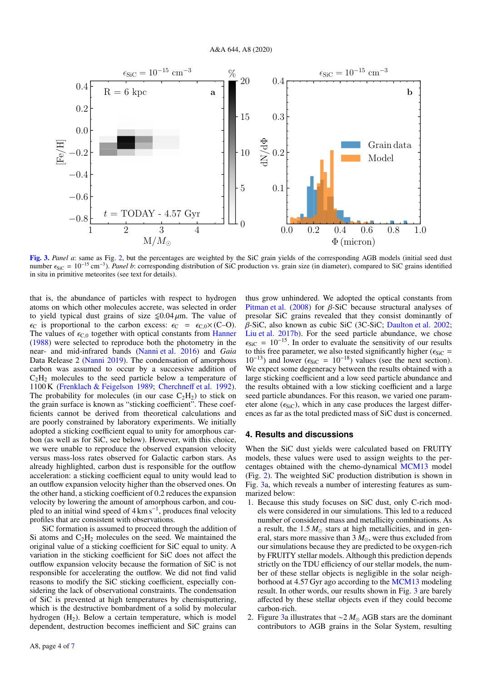

[Fig. 3.](https://dexter.edpsciences.org/applet.php?DOI=10.1051/0004-6361/202039492&pdf_id=3) Panel a: same as Fig. 2, but the percentages are weighted by the SiC grain yields of the corresponding AGB models (initial seed dust number <sub>€siC</sub> = 10<sup>-15</sup> cm<sup>-3</sup>). *Panel b*: corresponding distribution of SiC production vs. grain size (in diameter), compared to SiC grains identified in situ in primitive meteorites (see text for details) in situ in primitive meteorites (see text for details).

that is, the abundance of particles with respect to hydrogen atoms on which other molecules accrete, was selected in order to yield typical dust grains of size  $\leq 0.04 \,\mu\text{m}$ . The value of  $\epsilon_{\text{C}}$  is proportional to the carbon excess:  $\epsilon_{\text{C}} = \epsilon_{\text{C},0} \times (\text{C}-\text{O})$ . The values of  $\epsilon_{C,0}$  together with optical constants from Hanner (1988) were selected to reproduce both the photometry in the near- and mid-infrared bands (Nanni et al. 2016) and *Gaia* Data Release 2 (Nanni 2019). The condensation of amorphous carbon was assumed to occur by a successive addition of  $C_2H_2$  molecules to the seed particle below a temperature of 1100 K (Frenklach & Feigelson 1989; Cherchneff et al. 1992). The probability for molecules (in our case  $C_2H_2$ ) to stick on the grain surface is known as "sticking coefficient". These coefficients cannot be derived from theoretical calculations and are poorly constrained by laboratory experiments. We initially adopted a sticking coefficient equal to unity for amorphous carbon (as well as for SiC, see below). However, with this choice, we were unable to reproduce the observed expansion velocity versus mass-loss rates observed for Galactic carbon stars. As already highlighted, carbon dust is responsible for the outflow acceleration: a sticking coefficient equal to unity would lead to an outflow expansion velocity higher than the observed ones. On the other hand, a sticking coefficient of 0.2 reduces the expansion velocity by lowering the amount of amorphous carbon, and coupled to an initial wind speed of 4 km s<sup>-1</sup>, produces final velocity profiles that are consistent with observations.

SiC formation is assumed to proceed through the addition of Si atoms and  $C_2H_2$  molecules on the seed. We maintained the original value of a sticking coefficient for SiC equal to unity. A variation in the sticking coefficient for SiC does not affect the outflow expansion velocity because the formation of SiC is not responsible for accelerating the outflow. We did not find valid reasons to modify the SiC sticking coefficient, especially considering the lack of observational constraints. The condensation of SiC is prevented at high temperatures by chemisputtering, which is the destructive bombardment of a solid by molecular hydrogen  $(H<sub>2</sub>)$ . Below a certain temperature, which is model dependent, destruction becomes inefficient and SiC grains can

A8, page 4 of 7

thus grow unhindered. We adopted the optical constants from Pitman et al.  $(2008)$  for  $\beta$ -SiC because structural analyses of presolar SiC grains revealed that they consist dominantly of β-SiC, also known as cubic SiC (3C-SiC; Daulton et al. 2002; Liu et al. 2017b). For the seed particle abundance, we chose  $\epsilon_{\text{SiC}} = 10^{-15}$ . In order to evaluate the sensitivity of our results to this free parameter, we also tested significantly higher ( $\epsilon_{\text{SiC}} = 10^{-13}$ ) and lower ( $\epsilon_{\text{SiC}} = 10^{-18}$ ) values (see the next section)  $10^{-13}$ ) and lower ( $\epsilon_{\text{SiC}} = 10^{-18}$ ) values (see the next section).<br>We expect some degeneracy between the results obtained with a We expect some degeneracy between the results obtained with a large sticking coefficient and a low seed particle abundance and the results obtained with a low sticking coefficient and a large seed particle abundances. For this reason, we varied one parameter alone ( $\epsilon_{\text{SiC}}$ ), which in any case produces the largest differences as far as the total predicted mass of SiC dust is concerned.

#### **4. Results and discussions**

When the SiC dust yields were calculated based on FRUITY models, these values were used to assign weights to the percentages obtained with the chemo-dynamical MCM13 model (Fig. 2). The weighted SiC production distribution is shown in Fig. 3a, which reveals a number of interesting features as summarized below:

- 1. Because this study focuses on SiC dust, only C-rich models were considered in our simulations. This led to a reduced number of considered mass and metallicity combinations. As a result, the  $1.5 M_{\odot}$  stars at high metallicities, and in general, stars more massive than  $3 M_{\odot}$ , were thus excluded from our simulations because they are predicted to be oxygen-rich by FRUITY stellar models. Although this prediction depends strictly on the TDU efficiency of our stellar models, the number of these stellar objects is negligible in the solar neighborhood at 4.57 Gyr ago according to the MCM13 modeling result. In other words, our results shown in Fig. 3 are barely affected by these stellar objects even if they could become carbon-rich.
- 2. Figure 3a illustrates that ∼2  $M_{\odot}$  AGB stars are the dominant contributors to AGB grains in the Solar System, resulting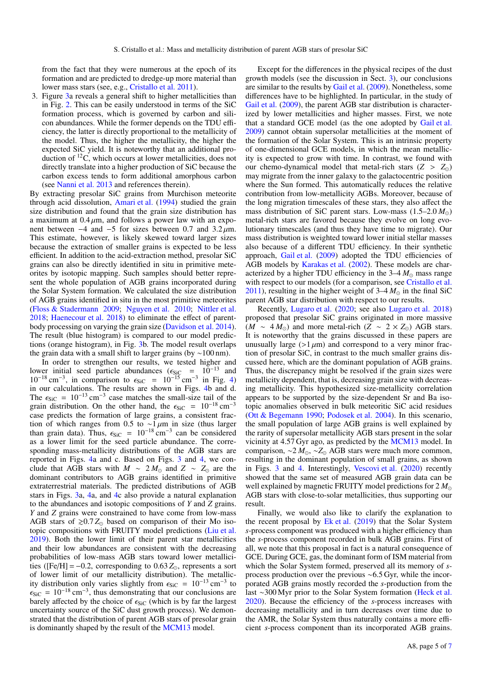from the fact that they were numerous at the epoch of its formation and are predicted to dredge-up more material than lower mass stars (see, e.g., Cristallo et al. 2011).

3. Figure 3a reveals a general shift to higher metallicities than in Fig. 2. This can be easily understood in terms of the SiC formation process, which is governed by carbon and silicon abundances. While the former depends on the TDU efficiency, the latter is directly proportional to the metallicity of the model. Thus, the higher the metallicity, the higher the expected SiC yield. It is noteworthy that an additional production of <sup>12</sup>C, which occurs at lower metallicities, does not directly translate into a higher production of SiC because the carbon excess tends to form additional amorphous carbon (see Nanni et al. 2013 and references therein).

By extracting presolar SiC grains from Murchison meteorite through acid dissolution, Amari et al. (1994) studied the grain size distribution and found that the grain size distribution has a maximum at  $0.4 \mu$ m, and follows a power law with an exponent between  $-4$  and  $-5$  for sizes between 0.7 and 3.2  $\mu$ m. This estimate, however, is likely skewed toward larger sizes because the extraction of smaller grains is expected to be less efficient. In addition to the acid-extraction method, presolar SiC grains can also be directly identified in situ in primitive meteorites by isotopic mapping. Such samples should better represent the whole population of AGB grains incorporated during the Solar System formation. We calculated the size distribution of AGB grains identified in situ in the most primitive meteorites (Floss & Stadermann 2009; Nguyen et al. 2010; Nittler et al. 2018; Haenecour et al. 2018) to eliminate the effect of parentbody processing on varying the grain size (Davidson et al. 2014). The result (blue histogram) is compared to our model predictions (orange histogram), in Fig. 3b. The model result overlaps the grain data with a small shift to larger grains (by ∼100 nm).

In order to strengthen our results, we tested higher and lower initial seed particle abundances ( $\epsilon_{SiC} = 10^{-13}$  and  $10^{-18}$  cm<sup>-3</sup>, in comparison to  $\epsilon_{SiC} = 10^{-15}$  cm<sup>-3</sup> in Fig. 4) in our calculations. The results are shown in Figs. 4b and d in our calculations. The results are shown in Figs. 4b and d. The  $\epsilon_{\text{SiC}} = 10^{-13} \text{ cm}^{-3}$  case matches the small-size tail of the grain distribution. On the other hand, the  $\epsilon_{\text{SiC}} = 10^{-18} \text{ cm}^{-3}$ grain distribution. On the other hand, the  $\epsilon_{\text{SiC}} = 10^{-18} \text{ cm}^{-3}$ case predicts the formation of large grains, a consistent fraction of which ranges from 0.5 to ~1  $\mu$ m in size (thus larger<br>than grain data). Thus  $\epsilon_{\text{CCE}} = 10^{-18} \text{ cm}^{-3}$  can be considered than grain data). Thus,  $\epsilon_{\text{SiC}} = 10^{-18} \text{ cm}^{-3}$  can be considered<br>as a lower limit for the seed particle abundance. The correas a lower limit for the seed particle abundance. The corresponding mass-metallicity distributions of the AGB stars are reported in Figs. 4a and c. Based on Figs. 3 and 4, we conclude that AGB stars with  $M \sim 2 M_{\odot}$  and  $Z \sim Z_{\odot}$  are the dominant contributors to AGB grains identified in primitive extraterrestrial materials. The predicted distributions of AGB stars in Figs. 3a, 4a, and 4c also provide a natural explanation to the abundances and isotopic compositions of *Y* and *Z* grains. *Y* and *Z* grains were constrained to have come from low-mass AGB stars of  $\geq 0.7 Z_{\odot}$  based on comparison of their Mo isotopic compositions with FRUITY model predictions (Liu et al. 2019). Both the lower limit of their parent star metallicities and their low abundances are consistent with the decreasing probabilities of low-mass AGB stars toward lower metallicities ([Fe/H] =  $-0.2$ , corresponding to  $0.63 Z_{\odot}$ , represents a sort of lower limit of our metallicity distribution). The metallicity distribution only varies slightly from  $\epsilon_{\text{SiC}} = 10^{-13} \text{ cm}^{-3}$  to  $\epsilon_{\text{SiC}} = 10^{-18} \text{ cm}^{-3}$  thus demonstrating that our conclusions are  $\epsilon_{\text{SiC}} = 10^{-18} \text{ cm}^{-3}$ , thus demonstrating that our conclusions are barely affected by the choice of  $\epsilon_{\text{SiC}}$  (which is by far the largest barely affected by the choice of  $\epsilon_{\text{SiC}}$  (which is by far the largest uncertainty source of the SiC dust growth process). We demonstrated that the distribution of parent AGB stars of presolar grain is dominantly shaped by the result of the MCM13 model.

Except for the differences in the physical recipes of the dust growth models (see the discussion in Sect. 3), our conclusions are similar to the results by Gail et al. (2009). Nonetheless, some differences have to be highlighted. In particular, in the study of Gail et al. (2009), the parent AGB star distribution is characterized by lower metallicities and higher masses. First, we note that a standard GCE model (as the one adopted by Gail et al. 2009) cannot obtain supersolar metallicities at the moment of the formation of the Solar System. This is an intrinsic property of one-dimensional GCE models, in which the mean metallicity is expected to grow with time. In contrast, we found with our chemo-dynamical model that metal-rich stars  $(Z > Z_0)$ may migrate from the inner galaxy to the galactocentric position where the Sun formed. This automatically reduces the relative contribution from low-metallicity AGBs. Moreover, because of the long migration timescales of these stars, they also affect the mass distribution of SiC parent stars. Low-mass  $(1.5-2.0 M_{\odot})$ metal-rich stars are favored because they evolve on long evolutionary timescales (and thus they have time to migrate). Our mass distribution is weighted toward lower initial stellar masses also because of a different TDU efficiency. In their synthetic approach, Gail et al. (2009) adopted the TDU efficiencies of AGB models by Karakas et al. (2002). These models are characterized by a higher TDU efficiency in the  $3-4 M_{\odot}$  mass range with respect to our models (for a comparison, see Cristallo et al. 2011), resulting in the higher weight of  $3-4 M_{\odot}$  in the final SiC parent AGB star distribution with respect to our results.

Recently, Lugaro et al. (2020; see also Lugaro et al. 2018) proposed that presolar SiC grains originated in more massive (*M* ∼ 4 $M_{\odot}$ ) and more metal-rich (*Z* ∼ 2 × *Z*<sub>⊙</sub>) AGB stars. It is noteworthy that the grains discussed in these papers are unusually large  $(>1 \mu m)$  and correspond to a very minor fraction of presolar SiC, in contrast to the much smaller grains discussed here, which are the dominant population of AGB grains. Thus, the discrepancy might be resolved if the grain sizes were metallicity dependent, that is, decreasing grain size with decreasing metallicity. This hypothesized size-metallicity correlation appears to be supported by the size-dependent Sr and Ba isotopic anomalies observed in bulk meteoritic SiC acid residues (Ott & Begemann 1990; Podosek et al. 2004). In this scenario, the small population of large AGB grains is well explained by the rarity of supersolar metallicity AGB stars present in the solar vicinity at 4.57 Gyr ago, as predicted by the MCM13 model. In comparison, ∼2 *M*, ∼*Z* AGB stars were much more common, resulting in the dominant population of small grains, as shown in Figs. 3 and 4. Interestingly, Vescovi et al. (2020) recently showed that the same set of measured AGB grain data can be well explained by magnetic FRUITY model predictions for 2 *M* AGB stars with close-to-solar metallicities, thus supporting our result.

Finally, we would also like to clarify the explanation to the recent proposal by Ek et al. (2019) that the Solar System *s*-process component was produced with a higher efficiency than the *s*-process component recorded in bulk AGB grains. First of all, we note that this proposal in fact is a natural consequence of GCE. During GCE, gas, the dominant form of ISM material from which the Solar System formed, preserved all its memory of *s*process production over the previous ∼6.5 Gyr, while the incorporated AGB grains mostly recorded the *s*-production from the last ∼300 Myr prior to the Solar System formation (Heck et al. 2020). Because the efficiency of the *s*-process increases with decreasing metallicity and in turn decreases over time due to the AMR, the Solar System thus naturally contains a more efficient *s*-process component than its incorporated AGB grains.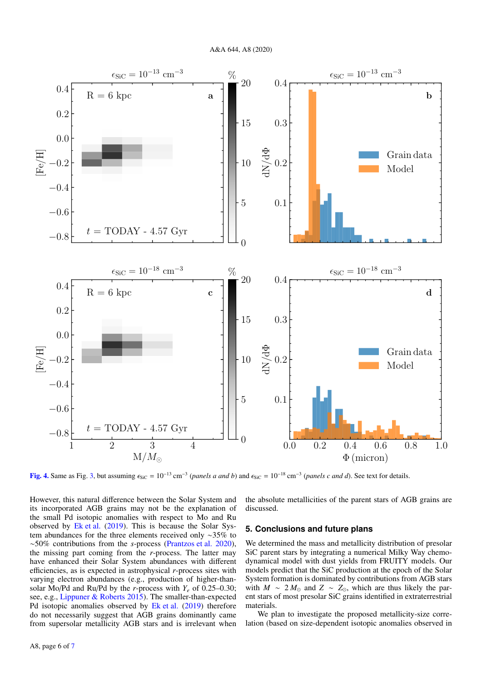

[Fig. 4.](https://dexter.edpsciences.org/applet.php?DOI=10.1051/0004-6361/202039492&pdf_id=4) Same as Fig. 3, but assuming  $\epsilon_{\text{SiC}} = 10^{-13} \text{ cm}^{-3}$  (*panels a and b*) and  $\epsilon_{\text{SiC}} = 10^{-18} \text{ cm}^{-3}$  (*panels c and d*). See text for details.

However, this natural difference between the Solar System and its incorporated AGB grains may not be the explanation of the small Pd isotopic anomalies with respect to Mo and Ru observed by Ek et al. (2019). This is because the Solar System abundances for the three elements received only ∼35% to ∼50% contributions from the *s*-process (Prantzos et al. 2020), the missing part coming from the *r*-process. The latter may have enhanced their Solar System abundances with different efficiencies, as is expected in astrophysical *r*-process sites with varying electron abundances (e.g., production of higher-thansolar Mo/Pd and Ru/Pd by the *r*-process with  $Y_e$  of 0.25–0.30; see, e.g., Lippuner & Roberts 2015). The smaller-than-expected Pd isotopic anomalies observed by Ek et al. (2019) therefore do not necessarily suggest that AGB grains dominantly came from supersolar metallicity AGB stars and is irrelevant when the absolute metallicities of the parent stars of AGB grains are discussed.

### **5. Conclusions and future plans**

We determined the mass and metallicity distribution of presolar SiC parent stars by integrating a numerical Milky Way chemodynamical model with dust yields from FRUITY models. Our models predict that the SiC production at the epoch of the Solar System formation is dominated by contributions from AGB stars with  $M \sim 2 M_{\odot}$  and  $Z \sim Z_{\odot}$ , which are thus likely the parent stars of most presolar SiC grains identified in extraterrestrial materials.

We plan to investigate the proposed metallicity-size correlation (based on size-dependent isotopic anomalies observed in